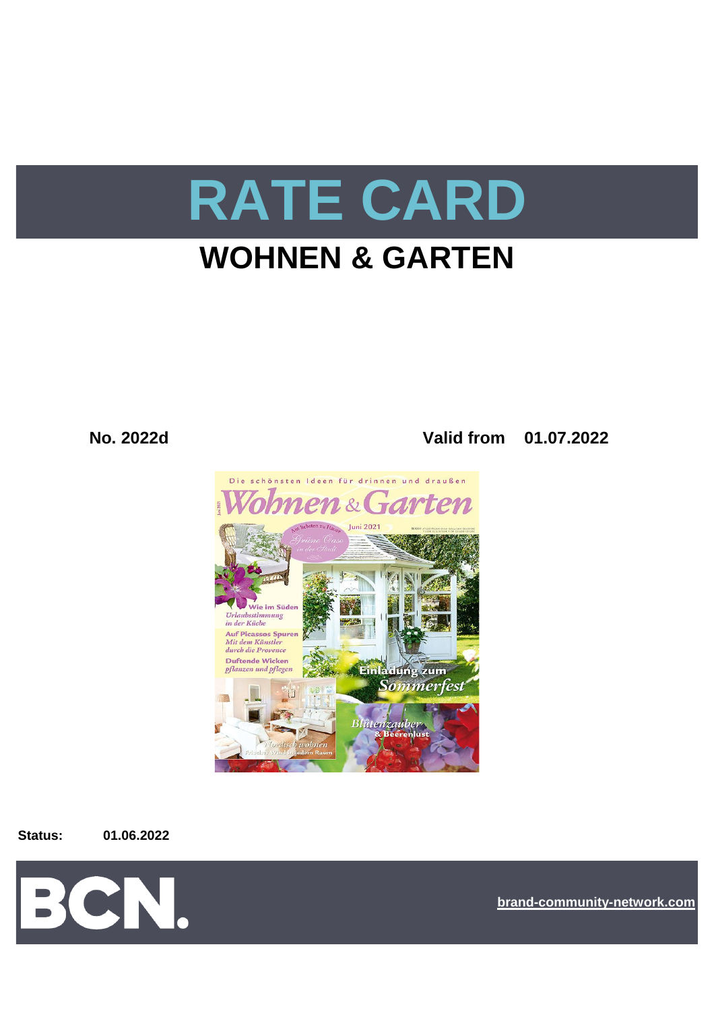

# **WOHNEN & GARTEN**

**No. 2022d Valid from 01.07.2022**



**Status: 01.06.2022**



**[bra](https://bcn.burda.com/)nd-community-network.com**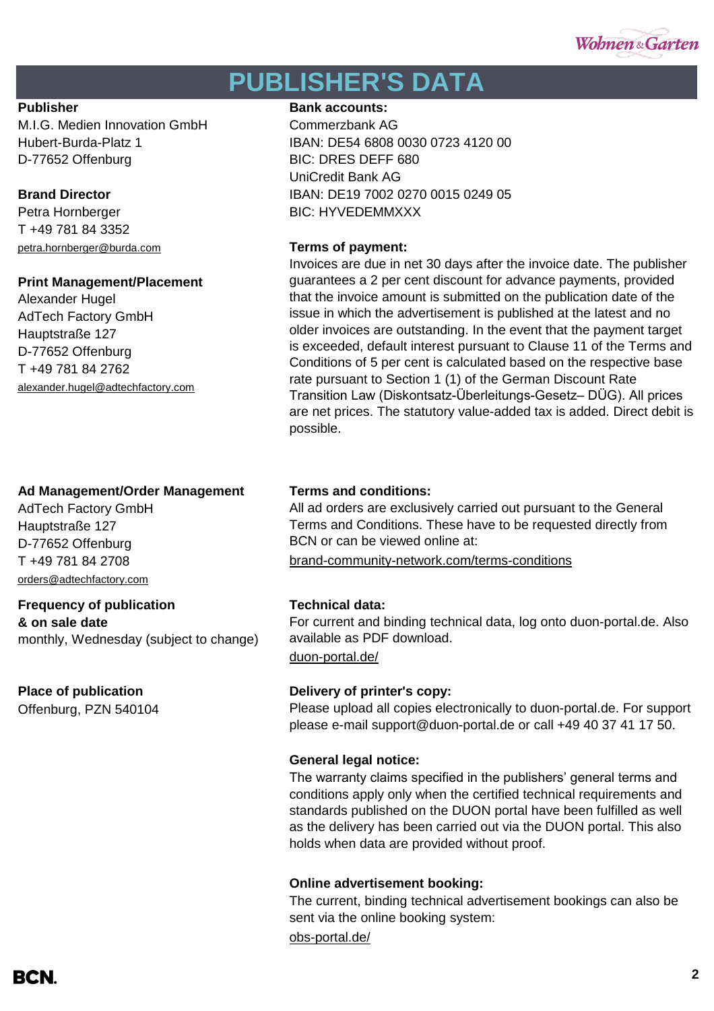

## **PUBLISHER'S DATA**

M.I.G. Medien Innovation GmbH Commerzbank AG D-77652 Offenburg BIC: DRES DEFF 680

Petra Hornberger BIC: HYVEDEMMXXX T +49 781 84 3352 [petra.hornberger@burda.com](mailto:petra.hornberger@burda.com) **Terms of payment:**

### **Print Management/Placement**

Alexander Hugel AdTech Factory GmbH Hauptstraße 127 D-77652 Offenburg T +49 781 84 2762 [alexander.hugel@adtechfactory.com](mailto:alexander.hugel@adtechfactory.com)

### **Ad Management/Order Management Terms and conditions:**

AdTech Factory GmbH Hauptstraße 127 D-77652 Offenburg [orders@adtechfactory.com](mailto:orders@adtechfactory.com)

### **Frequency of publication Technical data:**

**& on sale date** monthly, Wednesday (subject to change)

Offenburg, PZN 540104

#### **Publisher Bank accounts: Bank accounts:**

Hubert-Burda-Platz 1 IBAN: DE54 6808 0030 0723 4120 00 UniCredit Bank AG **Brand Director IBAN: DE19 7002 0270 0015 0249 05** 

Invoices are due in net 30 days after the invoice date. The publisher guarantees a 2 per cent discount for advance payments, provided that the invoice amount is submitted on the publication date of the issue in which the advertisement is published at the latest and no older invoices are outstanding. In the event that the payment target is exceeded, default interest pursuant to Clause 11 of the Terms and Conditions of 5 per cent is calculated based on the respective base rate pursuant to Section 1 (1) of the German Discount Rate Transition Law (Diskontsatz-Überleitungs-Gesetz– DÜG). All prices are net prices. The statutory value-added tax is added. Direct debit is possible.

All ad orders are exclusively carried out pursuant to the General Terms and Conditions. These have to be requested directly from BCN or can be viewed online at:

T +49 781 84 2708 [brand-community-network.com/terms-conditions](https://bcn.burda.com/terms-conditions)

[duon-portal.de/](https://duon-portal.de/) For current and binding technical data, log onto duon-portal.de. Also available as PDF download.

### **Place of publication Delivery of printer's copy:**

Please upload all copies electronically to duon-portal.de. For support please e-mail support@duon-portal.de or call +49 40 37 41 17 50.

### **General legal notice:**

The warranty claims specified in the publishers' general terms and conditions apply only when the certified technical requirements and standards published on the DUON portal have been fulfilled as well as the delivery has been carried out via the DUON portal. This also holds when data are provided without proof.

### **Online advertisement booking:**

The current, binding technical advertisement bookings can also be sent via the online booking system:

[obs-portal.de/](https://www.obs-portal.de/)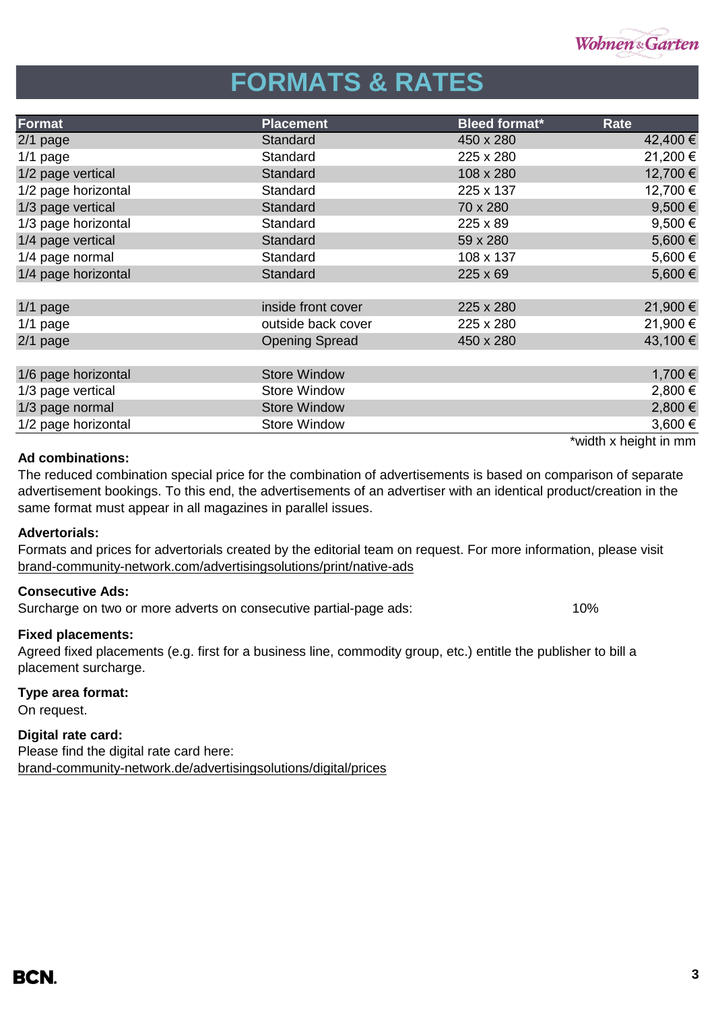

# **FORMATS & RATES**

| Format              | <b>Placement</b>      | <b>Bleed format*</b> | Rate                  |
|---------------------|-----------------------|----------------------|-----------------------|
| $2/1$ page          | Standard              | 450 x 280            | 42,400 €              |
| $1/1$ page          | Standard              | 225 x 280            | 21,200 €              |
| 1/2 page vertical   | Standard              | 108 x 280            | 12,700 €              |
| 1/2 page horizontal | Standard              | 225 x 137            | 12,700 €              |
| 1/3 page vertical   | Standard              | 70 x 280             | 9,500 $\epsilon$      |
| 1/3 page horizontal | Standard              | 225 x 89             | $9,500 \in$           |
| 1/4 page vertical   | Standard              | 59 x 280             | 5,600€                |
| 1/4 page normal     | Standard              | 108 x 137            | 5,600 €               |
| 1/4 page horizontal | Standard              | 225 x 69             | 5,600€                |
|                     |                       |                      |                       |
| $1/1$ page          | inside front cover    | 225 x 280            | 21,900 €              |
| $1/1$ page          | outside back cover    | 225 x 280            | 21,900 €              |
| $2/1$ page          | <b>Opening Spread</b> | 450 x 280            | 43,100 €              |
|                     |                       |                      |                       |
| 1/6 page horizontal | <b>Store Window</b>   |                      | 1,700 €               |
| 1/3 page vertical   | <b>Store Window</b>   |                      | 2,800 €               |
| 1/3 page normal     | <b>Store Window</b>   |                      | 2,800 €               |
| 1/2 page horizontal | <b>Store Window</b>   |                      | 3,600€                |
|                     |                       |                      | *width x height in mm |

#### **Ad combinations:**

The reduced combination special price for the combination of advertisements is based on comparison of separate advertisement bookings. To this end, the advertisements of an advertiser with an identical product/creation in the same format must appear in all magazines in parallel issues.

#### **Advertorials:**

[brand-community-network.com/advertisin](https://bcn.burda.com/advertisingsolutions/print/native-ads)gsolutions/print/native-ads Formats and prices for advertorials created by the editorial team on request. For more information, please visit

### **Consecutive Ads:**

Surcharge on two or more adverts on consecutive partial-page ads: 10%

### **Fixed placements:**

Agreed fixed placements (e.g. first for a business line, commodity group, etc.) entitle the publisher to bill a placement surcharge.

### **Type area format:**

On request.

### **Digital rate card:**

Please find the digital rate card here: [brand-community-network.de/advertisingsolutions/digital/prices](https://bcn.burda.com/advertisingsolutions/digital/prices)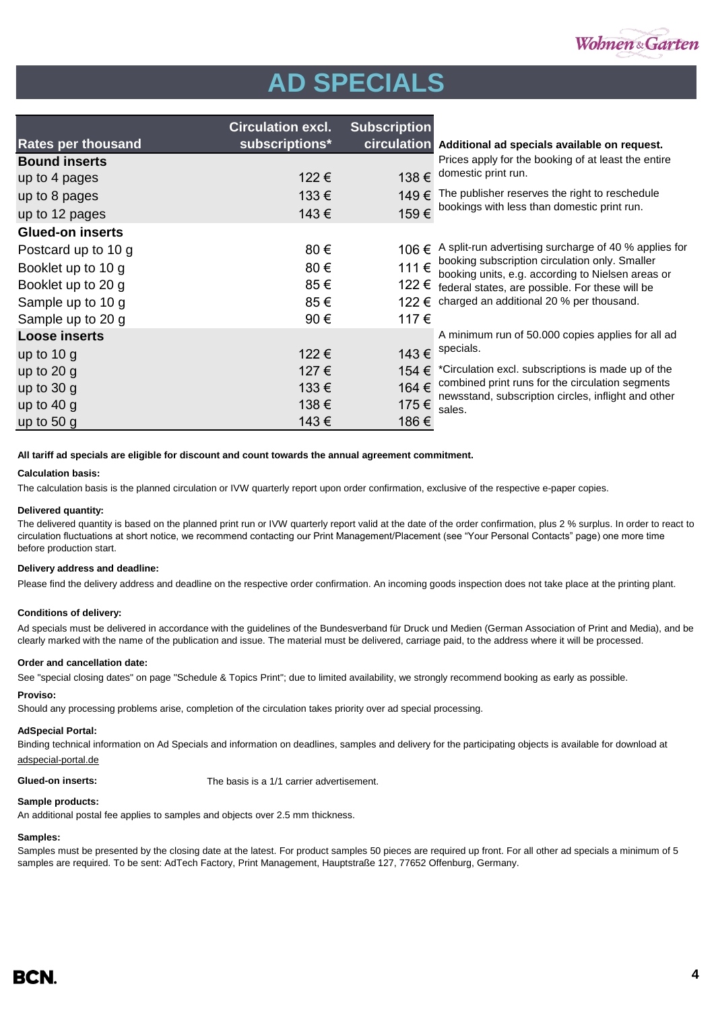

# **AD SPECIALS**

|                           | <b>Circulation excl.</b> | <b>Subscription</b> |                                                                                                         |
|---------------------------|--------------------------|---------------------|---------------------------------------------------------------------------------------------------------|
| <b>Rates per thousand</b> | subscriptions*           |                     | circulation Additional ad specials available on request.                                                |
| <b>Bound inserts</b>      |                          |                     | Prices apply for the booking of at least the entire                                                     |
| up to 4 pages             | 122€                     |                     | 138 $\epsilon$ domestic print run.                                                                      |
| up to 8 pages             | 133€                     | 149€                | The publisher reserves the right to reschedule                                                          |
| up to 12 pages            | 143€                     | 159€                | bookings with less than domestic print run.                                                             |
| <b>Glued-on inserts</b>   |                          |                     |                                                                                                         |
| Postcard up to 10 g       | 80€                      | 106€                | A split-run advertising surcharge of 40 % applies for                                                   |
| Booklet up to 10 g        | 80€                      | 111€                | booking subscription circulation only. Smaller<br>booking units, e.g. according to Nielsen areas or     |
| Booklet up to 20 g        | 85€                      | 122€                | federal states, are possible. For these will be                                                         |
| Sample up to 10 g         | 85€                      | 122 €               | charged an additional 20 % per thousand.                                                                |
| Sample up to 20 g         | 90€                      | 117€                |                                                                                                         |
| <b>Loose inserts</b>      |                          |                     | A minimum run of 50.000 copies applies for all ad                                                       |
| up to $10 g$              | 122€                     | 143€                | specials.                                                                                               |
| up to $20$ g              | 127 €                    | 154 €               | *Circulation excl. subscriptions is made up of the                                                      |
| up to $30 g$              | 133€                     | 164 €               | combined print runs for the circulation segments<br>newsstand, subscription circles, inflight and other |
| up to $40 g$              | 138€                     | 175€                | sales.                                                                                                  |
| up to $50 g$              | 143€                     | 186€                |                                                                                                         |

**All tariff ad specials are eligible for discount and count towards the annual agreement commitment.**

#### **Calculation basis:**

The calculation basis is the planned circulation or IVW quarterly report upon order confirmation, exclusive of the respective e-paper copies.

#### **Delivered quantity:**

The delivered quantity is based on the planned print run or IVW quarterly report valid at the date of the order confirmation, plus 2 % surplus. In order to react to circulation fluctuations at short notice, we recommend contacting our Print Management/Placement (see "Your Personal Contacts" page) one more time before production start.

#### **Delivery address and deadline:**

Please find the delivery address and deadline on the respective order confirmation. An incoming goods inspection does not take place at the printing plant.

#### **Conditions of delivery:**

Ad specials must be delivered in accordance with the guidelines of the Bundesverband für Druck und Medien (German Association of Print and Media), and be clearly marked with the name of the publication and issue. The material must be delivered, carriage paid, to the address where it will be processed.

#### **Order and cancellation date:**

See "special closing dates" on page "Schedule & Topics Print"; due to limited availability, we strongly recommend booking as early as possible.

#### **Proviso:**

Should any processing problems arise, completion of the circulation takes priority over ad special processing.

#### **AdSpecial Portal:**

Binding technical information on Ad Specials and information on deadlines, samples and delivery for the participating objects is available for download at adspecial-portal.de

**Glued-on inserts:** The basis is a 1/1 carrier advertisement.

#### **Sample products:**

An additional postal fee applies to samples and objects over 2.5 mm thickness.

#### **Samples:**

Samples must be presented by the closing date at the latest. For product samples 50 pieces are required up front. For all other ad specials a minimum of 5 samples are required. To be sent: AdTech Factory, Print Management, Hauptstraße 127, 77652 Offenburg, Germany.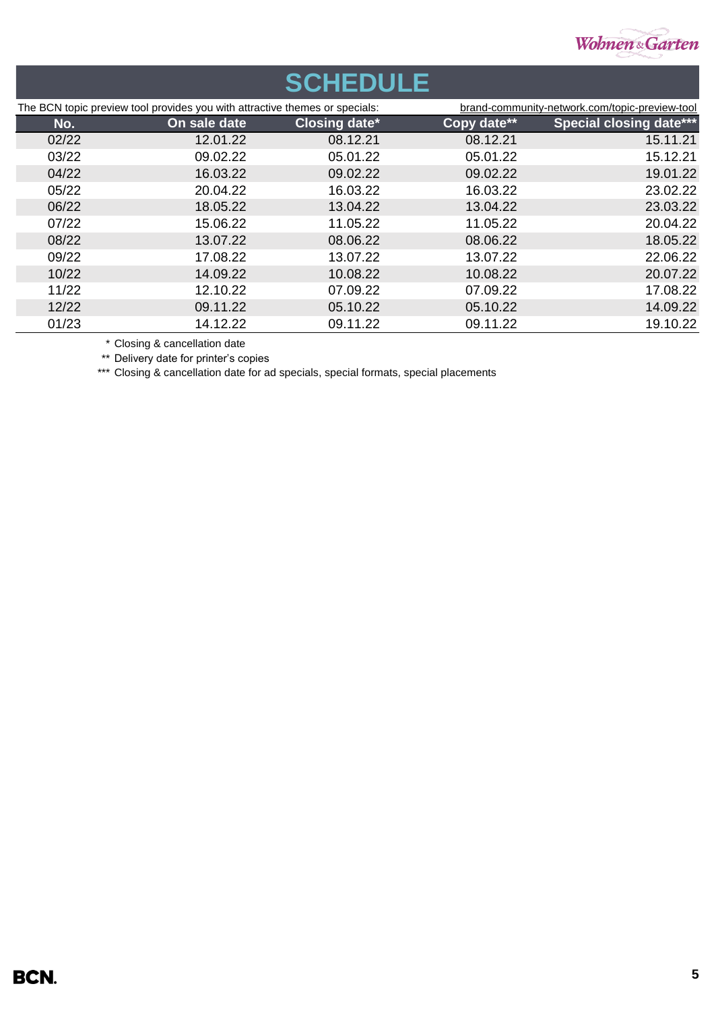

### **SCHEDULE** The BCN topic preview tool provides you with attractive themes or specials: [brand-community-net](https://bcn.burda.com/topic-preview-tool)work.com/topic-preview-tool **No. On sale date Closing date\* Copy date\*\* Special closing date\*\*\*** 02/22 12.01.22 08.12.21 08.12.21 15.11.21 03/22 09.02.22 05.01.22 05.01.22 15.12.21 04/22 16.03.22 09.02.22 09.02.22 19.01.22 05/22 20.04.22 16.03.22 16.03.22 23.02.22 06/22 18.05.22 13.04.22 13.04.22 23.03.22 07/22 15.06.22 11.05.22 11.05.22 20.04.22 08/22 13.07.22 08.06.22 08.06.22 18.05.22 09/22 17.08.22 13.07.22 13.07.22 22.06.22 10/22 14.09.22 10.08.22 10.08.22 20.07.22 11/22 12.10.22 07.09.22 07.09.22 17.08.22 12/22 09.11.22 05.10.22 05.10.22 14.09.22 01/23 14.12.22 09.11.22 09.11.22 19.10.22

\* Closing & cancellation date

\*\* Delivery date for printer's copies

\*\*\* Closing & cancellation date for ad specials, special formats, special placements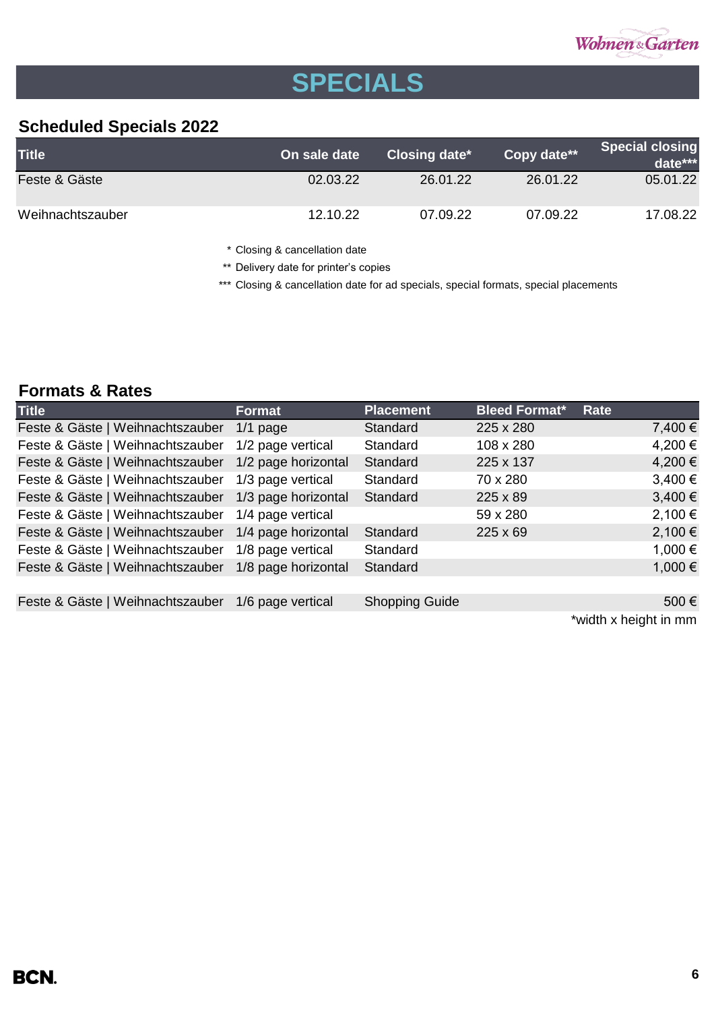

# **SPECIALS**

## **Scheduled Specials 2022**

| <b>Title</b>     | On sale date | Closing date* | Copy date** | <b>Special closing</b><br>date*** |
|------------------|--------------|---------------|-------------|-----------------------------------|
| Feste & Gäste    | 02.03.22     | 26.01.22      | 26.01.22    | 05.01.22                          |
| Weihnachtszauber | 12.10.22     | 07.09.22      | 07.09.22    | 17.08.22                          |

\* Closing & cancellation date

\*\* Delivery date for printer's copies

\*\*\* Closing & cancellation date for ad specials, special formats, special placements

## **Formats & Rates**

| <b>Title</b>                     | <b>Format</b>       | <b>Placement</b>      | <b>Bleed Format*</b> | Rate        |
|----------------------------------|---------------------|-----------------------|----------------------|-------------|
| Feste & Gäste   Weihnachtszauber | $1/1$ page          | Standard              | 225 x 280            | 7,400 €     |
| Feste & Gäste   Weihnachtszauber | 1/2 page vertical   | Standard              | 108 x 280            | 4,200 €     |
| Feste & Gäste   Weihnachtszauber | 1/2 page horizontal | Standard              | 225 x 137            | 4,200 €     |
| Feste & Gäste   Weihnachtszauber | 1/3 page vertical   | Standard              | 70 x 280             | $3,400 \in$ |
| Feste & Gäste   Weihnachtszauber | 1/3 page horizontal | Standard              | 225 x 89             | $3,400 \in$ |
| Feste & Gäste   Weihnachtszauber | 1/4 page vertical   |                       | 59 x 280             | 2,100 €     |
| Feste & Gäste   Weihnachtszauber | 1/4 page horizontal | Standard              | $225 \times 69$      | $2,100 \in$ |
| Feste & Gäste   Weihnachtszauber | 1/8 page vertical   | Standard              |                      | 1,000 €     |
| Feste & Gäste   Weihnachtszauber | 1/8 page horizontal | Standard              |                      | 1,000 €     |
|                                  |                     |                       |                      |             |
| Feste & Gäste   Weihnachtszauber | 1/6 page vertical   | <b>Shopping Guide</b> |                      | 500€        |
|                                  |                     |                       |                      |             |

\*width x height in mm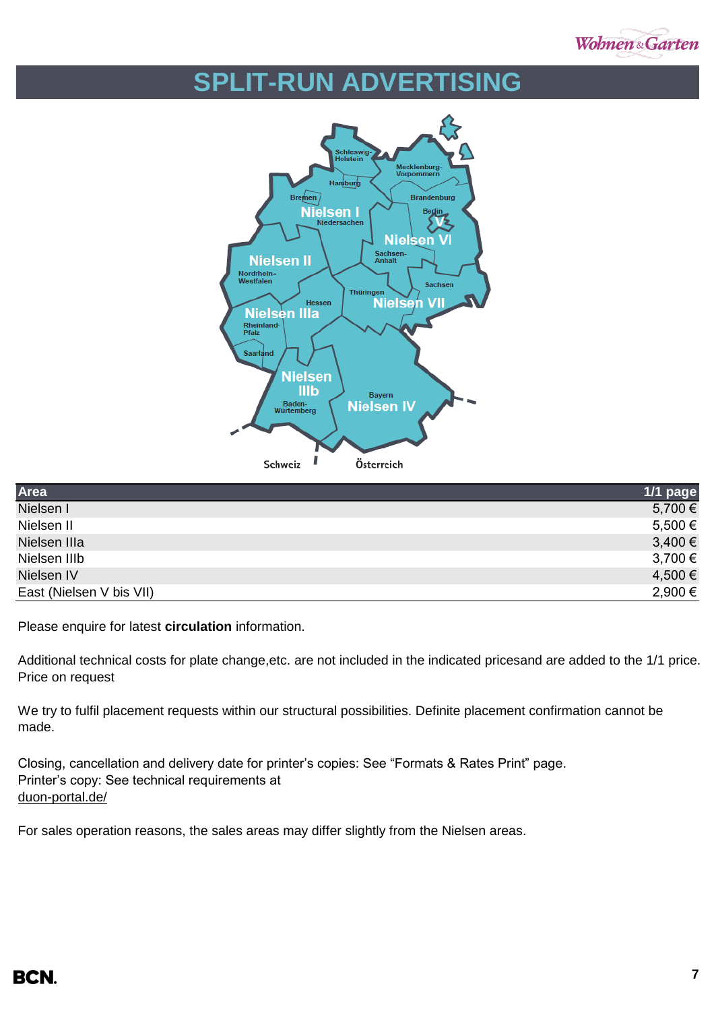

## **SPLIT-RUN ADVERTISING**



| Area                     | 1/1 page    |
|--------------------------|-------------|
| Nielsen I                | 5,700 €     |
| Nielsen II               | $5,500 \in$ |
| Nielsen IIIa             | $3,400 \in$ |
| Nielsen IIIb             | 3,700 €     |
| Nielsen IV               | 4,500 €     |
| East (Nielsen V bis VII) | 2,900 €     |

Please enquire for latest **circulation** information.

Additional technical costs for plate change, etc. are not included in the indicated pricesand are added to the 1/1 price. Price on request

We try to fulfil placement requests within our structural possibilities. Definite placement confirmation cannot be made.

Closing, cancellation and delivery date for printer's copies: See "Formats & Rates Print" page. Printer's copy: See technical requirements at [duon-portal.de/](https://duon-portal.de/)

For sales operation reasons, the sales areas may differ slightly from the Nielsen areas.